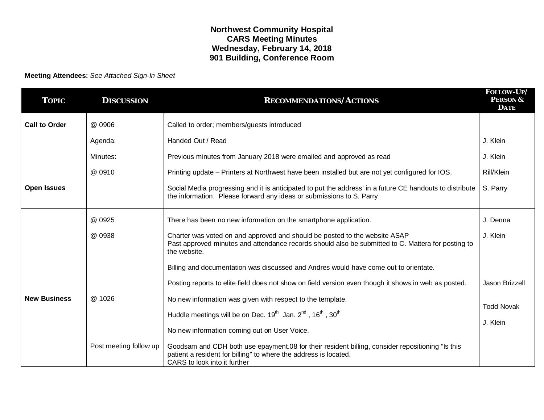## **Northwest Community Hospital CARS Meeting Minutes Wednesday, February 14, 2018 901 Building, Conference Room**

**Meeting Attendees:** *See Attached Sign-In Sheet*

| <b>TOPIC</b>         | <b>DISCUSSION</b>      | <b>RECOMMENDATIONS/ACTIONS</b>                                                                                                                                                                       | FOLLOW-UP/<br><b>PERSON &amp;</b><br><b>DATE</b> |
|----------------------|------------------------|------------------------------------------------------------------------------------------------------------------------------------------------------------------------------------------------------|--------------------------------------------------|
| <b>Call to Order</b> | @ 0906                 | Called to order; members/guests introduced                                                                                                                                                           |                                                  |
|                      | Agenda:                | Handed Out / Read                                                                                                                                                                                    | J. Klein                                         |
|                      | Minutes:               | Previous minutes from January 2018 were emailed and approved as read                                                                                                                                 | J. Klein                                         |
|                      | @ 0910                 | Printing update – Printers at Northwest have been installed but are not yet configured for IOS.                                                                                                      | Rill/Klein                                       |
| <b>Open Issues</b>   |                        | Social Media progressing and it is anticipated to put the address' in a future CE handouts to distribute<br>the information. Please forward any ideas or submissions to S. Parry                     | S. Parry                                         |
|                      | @ 0925                 | There has been no new information on the smartphone application.                                                                                                                                     | J. Denna                                         |
|                      | @ 0938                 | Charter was voted on and approved and should be posted to the website ASAP<br>Past approved minutes and attendance records should also be submitted to C. Mattera for posting to<br>the website.     | J. Klein                                         |
|                      |                        | Billing and documentation was discussed and Andres would have come out to orientate.                                                                                                                 |                                                  |
|                      |                        | Posting reports to elite field does not show on field version even though it shows in web as posted.                                                                                                 | Jason Brizzell                                   |
| <b>New Business</b>  | @ 1026                 | No new information was given with respect to the template.                                                                                                                                           |                                                  |
|                      |                        | Huddle meetings will be on Dec. $19^{th}$ Jan. $2^{nd}$ , $16^{th}$ , $30^{th}$                                                                                                                      | <b>Todd Novak</b>                                |
|                      |                        | No new information coming out on User Voice.                                                                                                                                                         | J. Klein                                         |
|                      | Post meeting follow up | Goodsam and CDH both use epayment.08 for their resident billing, consider repositioning "Is this<br>patient a resident for billing" to where the address is located.<br>CARS to look into it further |                                                  |